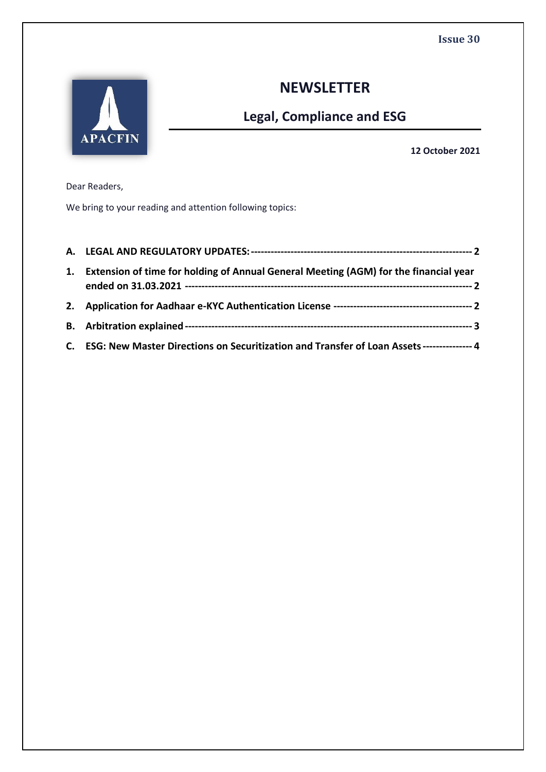

# **NEWSLETTER**

# **Legal, Compliance and ESG**

**12 October 2021**

Dear Readers,

We bring to your reading and attention following topics:

| 1. Extension of time for holding of Annual General Meeting (AGM) for the financial year       |
|-----------------------------------------------------------------------------------------------|
|                                                                                               |
|                                                                                               |
| C. ESG: New Master Directions on Securitization and Transfer of Loan Assets --------------- 4 |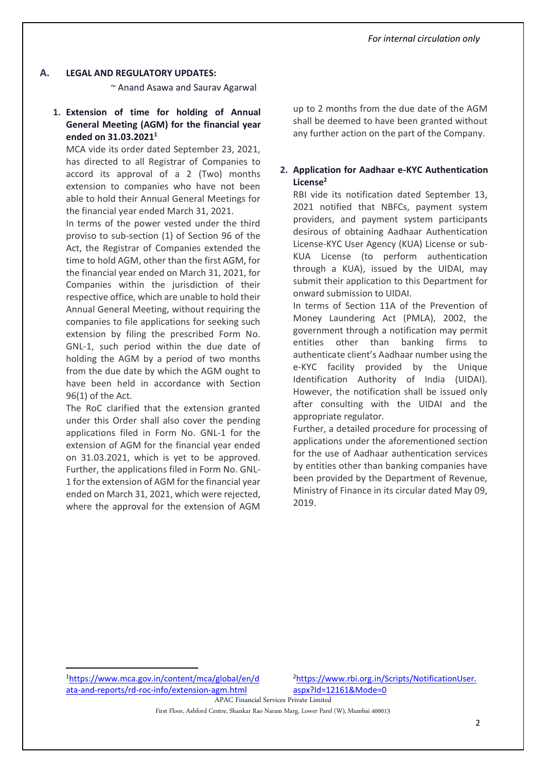#### **A. LEGAL AND REGULATORY UPDATES:**

~ Anand Asawa and Saurav Agarwal

**1. Extension of time for holding of Annual General Meeting (AGM) for the financial year ended on 31.03.2021<sup>1</sup>**

MCA vide its order dated September 23, 2021, has directed to all Registrar of Companies to accord its approval of a 2 (Two) months extension to companies who have not been able to hold their Annual General Meetings for the financial year ended March 31, 2021.

In terms of the power vested under the third proviso to sub-section (1) of Section 96 of the Act, the Registrar of Companies extended the time to hold AGM, other than the first AGM, for the financial year ended on March 31, 2021, for Companies within the jurisdiction of their respective office, which are unable to hold their Annual General Meeting, without requiring the companies to file applications for seeking such extension by filing the prescribed Form No. GNL-1, such period within the due date of holding the AGM by a period of two months from the due date by which the AGM ought to have been held in accordance with Section 96(1) of the Act.

The RoC clarified that the extension granted under this Order shall also cover the pending applications filed in Form No. GNL-1 for the extension of AGM for the financial year ended on 31.03.2021, which is yet to be approved. Further, the applications filed in Form No. GNL-1 for the extension of AGM for the financial year ended on March 31, 2021, which were rejected, where the approval for the extension of AGM

up to 2 months from the due date of the AGM shall be deemed to have been granted without any further action on the part of the Company.

## **2. Application for Aadhaar e-KYC Authentication License<sup>2</sup>**

RBI vide its notification dated September 13, 2021 notified that NBFCs, payment system providers, and payment system participants desirous of obtaining Aadhaar Authentication License-KYC User Agency (KUA) License or sub-KUA License (to perform authentication through a KUA), issued by the UIDAI, may submit their application to this Department for onward submission to UIDAI.

In terms of Section 11A of the Prevention of Money Laundering Act (PMLA), 2002, the government through a notification may permit entities other than banking firms to authenticate client's Aadhaar number using the e-KYC facility provided by the Unique Identification Authority of India (UIDAI). However, the notification shall be issued only after consulting with the UIDAI and the appropriate regulator.

Further, a detailed procedure for processing of applications under the aforementioned section for the use of Aadhaar authentication services by entities other than banking companies have been provided by the Department of Revenue, Ministry of Finance in its circular dated May 09, 2019.

<sup>1</sup>[https://www.mca.gov.in/content/mca/global/en/d](https://www.mca.gov.in/content/mca/global/en/data-and-reports/rd-roc-info/extension-agm.html) [ata-and-reports/rd-roc-info/extension-agm.html](https://www.mca.gov.in/content/mca/global/en/data-and-reports/rd-roc-info/extension-agm.html)

<sup>2</sup>[https://www.rbi.org.in/Scripts/NotificationUser.](https://www.rbi.org.in/Scripts/NotificationUser.aspx?Id=12161&Mode=0) [aspx?Id=12161&Mode=0](https://www.rbi.org.in/Scripts/NotificationUser.aspx?Id=12161&Mode=0)

APAC Financial Services Private Limited

First Floor, Ashford Centre, Shankar Rao Naram Marg, Lower Parel (W), Mumbai 400013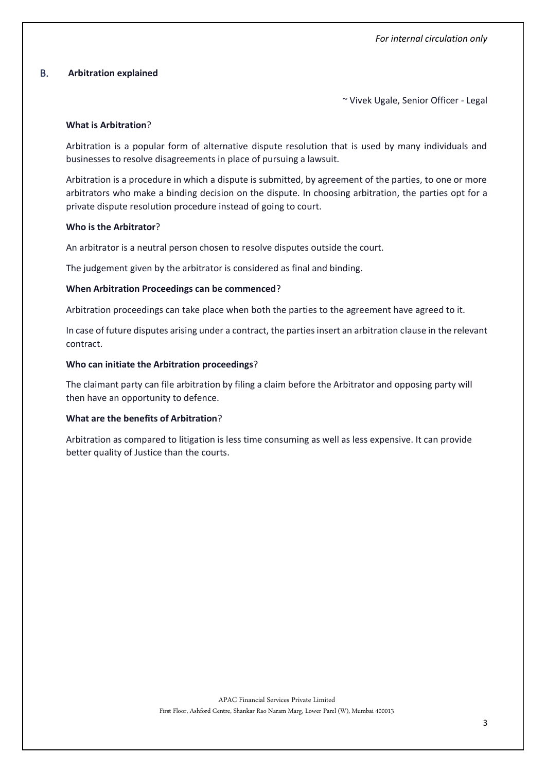## B. **Arbitration explained**

~ Vivek Ugale, Senior Officer - Legal

#### **What is Arbitration**?

Arbitration is a popular form of alternative dispute resolution that is used by many individuals and businesses to resolve disagreements in place of pursuing a lawsuit.

Arbitration is a procedure in which a dispute is submitted, by agreement of the parties, to one or more arbitrators who make a binding decision on the dispute. In choosing arbitration, the parties opt for a private dispute resolution procedure instead of going to court.

### **Who is the Arbitrator**?

An arbitrator is a neutral person chosen to resolve disputes outside the court.

The judgement given by the arbitrator is considered as final and binding.

### **When Arbitration Proceedings can be commenced**?

Arbitration proceedings can take place when both the parties to the agreement have agreed to it.

In case of future disputes arising under a contract, the parties insert an arbitration clause in the relevant contract.

### **Who can initiate the Arbitration proceedings**?

The claimant party can file arbitration by filing a claim before the Arbitrator and opposing party will then have an opportunity to defence.

#### **What are the benefits of Arbitration**?

Arbitration as compared to litigation is less time consuming as well as less expensive. It can provide better quality of Justice than the courts.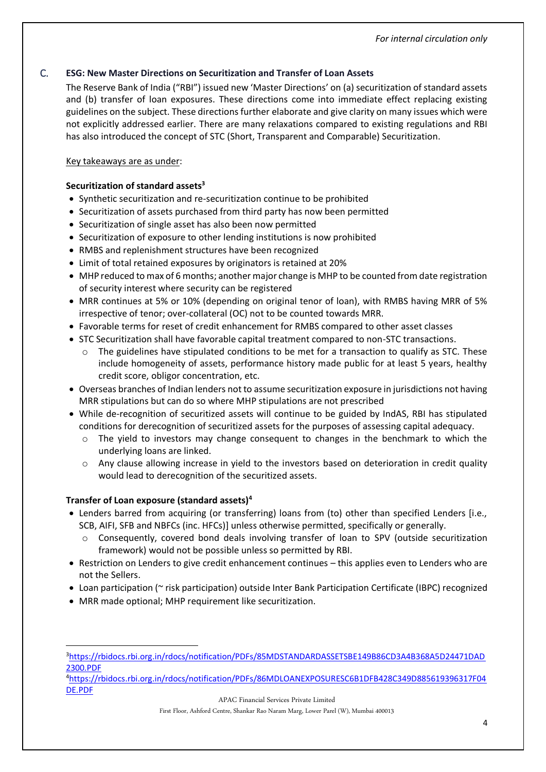## C. **ESG: New Master Directions on Securitization and Transfer of Loan Assets**

The Reserve Bank of India ("RBI") issued new 'Master Directions' on (a) securitization of standard assets and (b) transfer of loan exposures. These directions come into immediate effect replacing existing guidelines on the subject. These directions further elaborate and give clarity on many issues which were not explicitly addressed earlier. There are many relaxations compared to existing regulations and RBI has also introduced the concept of STC (Short, Transparent and Comparable) Securitization.

## Key takeaways are as under:

## **Securitization of standard assets<sup>3</sup>**

- Synthetic securitization and re-securitization continue to be prohibited
- Securitization of assets purchased from third party has now been permitted
- Securitization of single asset has also been now permitted
- Securitization of exposure to other lending institutions is now prohibited
- RMBS and replenishment structures have been recognized
- Limit of total retained exposures by originators is retained at 20%
- MHP reduced to max of 6 months; another major change is MHP to be counted from date registration of security interest where security can be registered
- MRR continues at 5% or 10% (depending on original tenor of loan), with RMBS having MRR of 5% irrespective of tenor; over-collateral (OC) not to be counted towards MRR.
- Favorable terms for reset of credit enhancement for RMBS compared to other asset classes
- STC Securitization shall have favorable capital treatment compared to non-STC transactions.
	- $\circ$  The guidelines have stipulated conditions to be met for a transaction to qualify as STC. These include homogeneity of assets, performance history made public for at least 5 years, healthy credit score, obligor concentration, etc.
- Overseas branches of Indian lenders not to assume securitization exposure in jurisdictions not having MRR stipulations but can do so where MHP stipulations are not prescribed
- While de-recognition of securitized assets will continue to be guided by IndAS, RBI has stipulated conditions for derecognition of securitized assets for the purposes of assessing capital adequacy.
	- $\circ$  The yield to investors may change consequent to changes in the benchmark to which the underlying loans are linked.
	- o Any clause allowing increase in yield to the investors based on deterioration in credit quality would lead to derecognition of the securitized assets.

## **Transfer of Loan exposure (standard assets)<sup>4</sup>**

- Lenders barred from acquiring (or transferring) loans from (to) other than specified Lenders [i.e., SCB, AIFI, SFB and NBFCs (inc. HFCs)] unless otherwise permitted, specifically or generally.
	- o Consequently, covered bond deals involving transfer of loan to SPV (outside securitization framework) would not be possible unless so permitted by RBI.
- Restriction on Lenders to give credit enhancement continues this applies even to Lenders who are not the Sellers.
- Loan participation (~ risk participation) outside Inter Bank Participation Certificate (IBPC) recognized
- MRR made optional; MHP requirement like securitization.

<sup>4</sup>[https://rbidocs.rbi.org.in/rdocs/notification/PDFs/86MDLOANEXPOSURESC6B1DFB428C349D885619396317F04](https://rbidocs.rbi.org.in/rdocs/notification/PDFs/86MDLOANEXPOSURESC6B1DFB428C349D885619396317F04DE.PDF) [DE.PDF](https://rbidocs.rbi.org.in/rdocs/notification/PDFs/86MDLOANEXPOSURESC6B1DFB428C349D885619396317F04DE.PDF)

APAC Financial Services Private Limited

First Floor, Ashford Centre, Shankar Rao Naram Marg, Lower Parel (W), Mumbai 400013

<sup>3</sup>[https://rbidocs.rbi.org.in/rdocs/notification/PDFs/85MDSTANDARDASSETSBE149B86CD3A4B368A5D24471DAD](https://rbidocs.rbi.org.in/rdocs/notification/PDFs/85MDSTANDARDASSETSBE149B86CD3A4B368A5D24471DAD2300.PDF) [2300.PDF](https://rbidocs.rbi.org.in/rdocs/notification/PDFs/85MDSTANDARDASSETSBE149B86CD3A4B368A5D24471DAD2300.PDF)